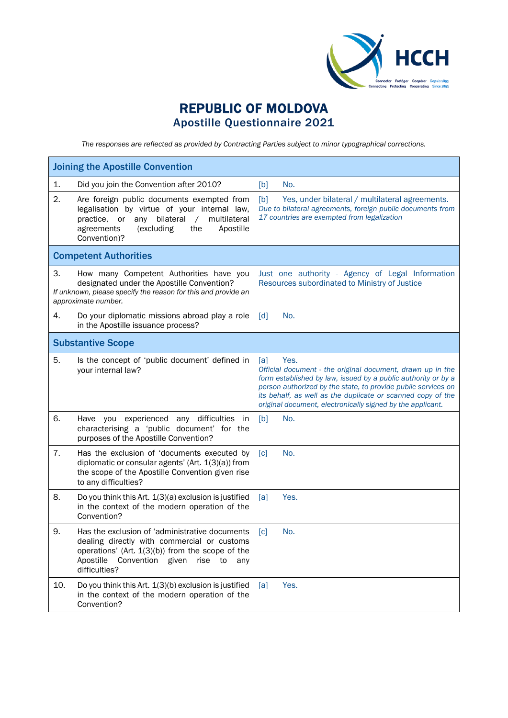

## REPUBLIC OF MOLDOVA Apostille Questionnaire 2021

*The responses are reflected as provided by Contracting Parties subject to minor typographical corrections.*

| <b>Joining the Apostille Convention</b>                                                                                                                                                                                              |                                                                                                                                                                                                                                                                                                                                          |  |  |
|--------------------------------------------------------------------------------------------------------------------------------------------------------------------------------------------------------------------------------------|------------------------------------------------------------------------------------------------------------------------------------------------------------------------------------------------------------------------------------------------------------------------------------------------------------------------------------------|--|--|
| Did you join the Convention after 2010?<br>1.                                                                                                                                                                                        | No.<br>[b]                                                                                                                                                                                                                                                                                                                               |  |  |
| 2.<br>Are foreign public documents exempted from<br>legalisation by virtue of your internal law,<br>bilateral<br>multilateral<br>practice, or<br>any<br>$\sqrt{2}$<br>(excluding<br>the<br>Apostille<br>agreements<br>Convention)?   | [b]<br>Yes, under bilateral / multilateral agreements.<br>Due to bilateral agreements, foreign public documents from<br>17 countries are exempted from legalization                                                                                                                                                                      |  |  |
| <b>Competent Authorities</b>                                                                                                                                                                                                         |                                                                                                                                                                                                                                                                                                                                          |  |  |
| 3.<br>How many Competent Authorities have you<br>designated under the Apostille Convention?<br>If unknown, please specify the reason for this and provide an<br>approximate number.                                                  | Just one authority - Agency of Legal Information<br>Resources subordinated to Ministry of Justice                                                                                                                                                                                                                                        |  |  |
| 4.<br>Do your diplomatic missions abroad play a role<br>in the Apostille issuance process?                                                                                                                                           | No.<br>[d]                                                                                                                                                                                                                                                                                                                               |  |  |
| <b>Substantive Scope</b>                                                                                                                                                                                                             |                                                                                                                                                                                                                                                                                                                                          |  |  |
| 5.<br>Is the concept of 'public document' defined in<br>your internal law?                                                                                                                                                           | Yes.<br>[a]<br>Official document - the original document, drawn up in the<br>form established by law, issued by a public authority or by a<br>person authorized by the state, to provide public services on<br>its behalf, as well as the duplicate or scanned copy of the<br>original document, electronically signed by the applicant. |  |  |
| 6.<br>Have you experienced any difficulties<br>in<br>characterising a 'public document' for the<br>purposes of the Apostille Convention?                                                                                             | [b]<br>No.                                                                                                                                                                                                                                                                                                                               |  |  |
| 7.<br>Has the exclusion of 'documents executed by<br>diplomatic or consular agents' (Art. 1(3)(a)) from<br>the scope of the Apostille Convention given rise<br>to any difficulties?                                                  | No.<br>$\lceil c \rceil$                                                                                                                                                                                                                                                                                                                 |  |  |
| 8.<br>Do you think this Art. 1(3)(a) exclusion is justified<br>in the context of the modern operation of the<br>Convention?                                                                                                          | Yes.<br>[a]                                                                                                                                                                                                                                                                                                                              |  |  |
| 9.<br>Has the exclusion of 'administrative documents<br>dealing directly with commercial or customs<br>operations' (Art. $1(3)(b)$ ) from the scope of the<br>Apostille<br>Convention<br>given<br>rise<br>to<br>any<br>difficulties? | [c]<br>No.                                                                                                                                                                                                                                                                                                                               |  |  |
| 10.<br>Do you think this Art. 1(3)(b) exclusion is justified<br>in the context of the modern operation of the<br>Convention?                                                                                                         | Yes.<br>[a]                                                                                                                                                                                                                                                                                                                              |  |  |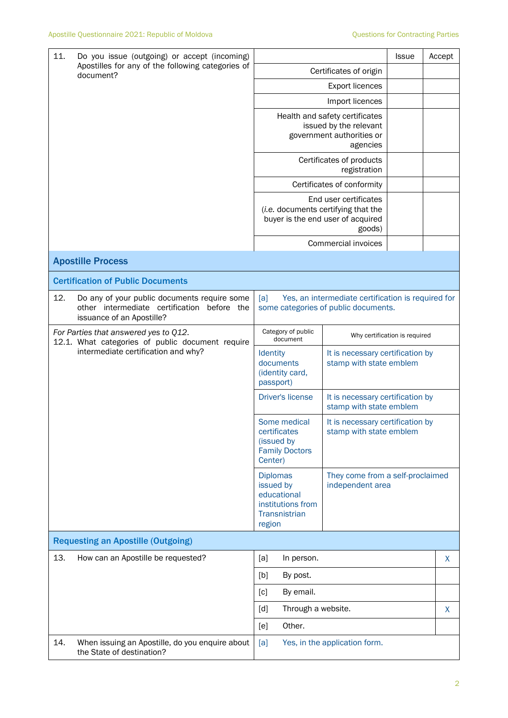| 11.<br>Do you issue (outgoing) or accept (incoming)                                                                              |                                                                                                                                               |                                                                                                                                                            | <b>Issue</b>                             | Accept |   |
|----------------------------------------------------------------------------------------------------------------------------------|-----------------------------------------------------------------------------------------------------------------------------------------------|------------------------------------------------------------------------------------------------------------------------------------------------------------|------------------------------------------|--------|---|
| Apostilles for any of the following categories of<br>document?                                                                   | Certificates of origin                                                                                                                        |                                                                                                                                                            |                                          |        |   |
|                                                                                                                                  |                                                                                                                                               |                                                                                                                                                            | <b>Export licences</b>                   |        |   |
|                                                                                                                                  |                                                                                                                                               |                                                                                                                                                            | Import licences                          |        |   |
|                                                                                                                                  |                                                                                                                                               | Health and safety certificates<br>issued by the relevant<br>government authorities or                                                                      |                                          |        |   |
|                                                                                                                                  |                                                                                                                                               |                                                                                                                                                            | Certificates of products<br>registration |        |   |
|                                                                                                                                  |                                                                                                                                               |                                                                                                                                                            | Certificates of conformity               |        |   |
|                                                                                                                                  |                                                                                                                                               | End user certificates<br>(i.e. documents certifying that the<br>buyer is the end user of acquired                                                          |                                          |        |   |
|                                                                                                                                  |                                                                                                                                               |                                                                                                                                                            | Commercial invoices                      |        |   |
|                                                                                                                                  | <b>Apostille Process</b>                                                                                                                      |                                                                                                                                                            |                                          |        |   |
|                                                                                                                                  | <b>Certification of Public Documents</b>                                                                                                      |                                                                                                                                                            |                                          |        |   |
| 12.                                                                                                                              | Do any of your public documents require some<br>other intermediate certification<br>before the<br>issuance of an Apostille?                   | Yes, an intermediate certification is required for<br>[a]<br>some categories of public documents.                                                          |                                          |        |   |
| For Parties that answered yes to Q12.<br>12.1. What categories of public document require<br>intermediate certification and why? | Category of public<br>document                                                                                                                | Why certification is required                                                                                                                              |                                          |        |   |
|                                                                                                                                  | Identity<br>documents<br>(identity card,<br>passport)                                                                                         | It is necessary certification by<br>stamp with state emblem                                                                                                |                                          |        |   |
|                                                                                                                                  | <b>Driver's license</b>                                                                                                                       | It is necessary certification by<br>stamp with state emblem                                                                                                |                                          |        |   |
|                                                                                                                                  | Some medical<br>It is necessary certification by<br>certificates<br>stamp with state emblem<br>(issued by<br><b>Family Doctors</b><br>Center) |                                                                                                                                                            |                                          |        |   |
|                                                                                                                                  |                                                                                                                                               | They come from a self-proclaimed<br><b>Diplomas</b><br>issued by<br>independent area<br>educational<br>institutions from<br><b>Transnistrian</b><br>region |                                          |        |   |
|                                                                                                                                  | <b>Requesting an Apostille (Outgoing)</b>                                                                                                     |                                                                                                                                                            |                                          |        |   |
| 13.                                                                                                                              | How can an Apostille be requested?                                                                                                            | [a]<br>In person.                                                                                                                                          |                                          |        | X |
|                                                                                                                                  |                                                                                                                                               | [b]<br>By post.                                                                                                                                            |                                          |        |   |
|                                                                                                                                  |                                                                                                                                               | By email.<br>[c]                                                                                                                                           |                                          |        |   |
|                                                                                                                                  |                                                                                                                                               | Through a website.<br>[d]                                                                                                                                  |                                          |        | X |
|                                                                                                                                  |                                                                                                                                               | Other.<br>[e]                                                                                                                                              |                                          |        |   |
| 14.                                                                                                                              | When issuing an Apostille, do you enquire about<br>the State of destination?                                                                  | [a]                                                                                                                                                        | Yes, in the application form.            |        |   |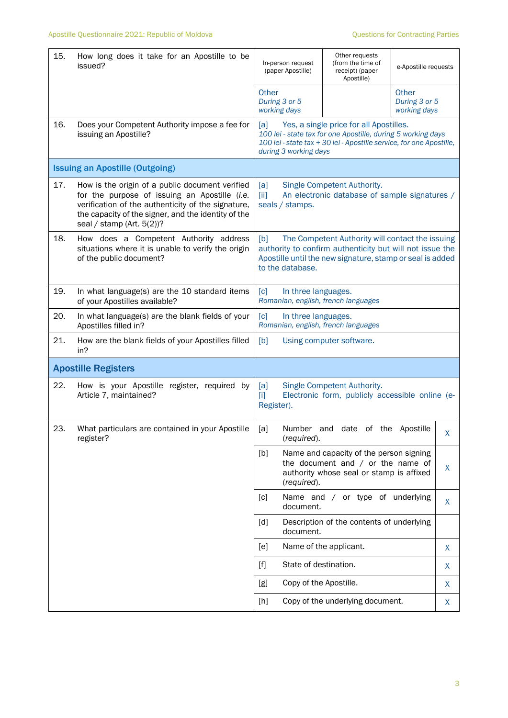| 15. | How long does it take for an Apostille to be<br>issued?                                                                                                                                                                                       | In-person request<br>(paper Apostille)                                                                                                                                                                          | Other requests<br>(from the time of<br>receipt) (paper<br>Apostille)                                                       | e-Apostille requests                   |    |
|-----|-----------------------------------------------------------------------------------------------------------------------------------------------------------------------------------------------------------------------------------------------|-----------------------------------------------------------------------------------------------------------------------------------------------------------------------------------------------------------------|----------------------------------------------------------------------------------------------------------------------------|----------------------------------------|----|
|     |                                                                                                                                                                                                                                               | Other<br>During 3 or 5<br>working days                                                                                                                                                                          |                                                                                                                            | Other<br>During 3 or 5<br>working days |    |
| 16. | Does your Competent Authority impose a fee for<br>issuing an Apostille?                                                                                                                                                                       | [a]<br>Yes, a single price for all Apostilles.<br>100 lei - state tax for one Apostille, during 5 working days<br>100 lei - state tax + 30 lei - Apostille service, for one Apostille,<br>during 3 working days |                                                                                                                            |                                        |    |
|     | <b>Issuing an Apostille (Outgoing)</b>                                                                                                                                                                                                        |                                                                                                                                                                                                                 |                                                                                                                            |                                        |    |
| 17. | How is the origin of a public document verified<br>for the purpose of issuing an Apostille (i.e.<br>verification of the authenticity of the signature,<br>the capacity of the signer, and the identity of the<br>seal / stamp (Art. $5(2)$ )? | Single Competent Authority.<br>[a]<br>An electronic database of sample signatures /<br>[ii]<br>seals / stamps.                                                                                                  |                                                                                                                            |                                        |    |
| 18. | How does a Competent Authority address<br>situations where it is unable to verify the origin<br>of the public document?                                                                                                                       | [b]<br>The Competent Authority will contact the issuing<br>authority to confirm authenticity but will not issue the<br>Apostille until the new signature, stamp or seal is added<br>to the database.            |                                                                                                                            |                                        |    |
| 19. | In what language(s) are the 10 standard items<br>of your Apostilles available?                                                                                                                                                                | [c]<br>In three languages.<br>Romanian, english, french languages                                                                                                                                               |                                                                                                                            |                                        |    |
| 20. | In what language(s) are the blank fields of your<br>Apostilles filled in?                                                                                                                                                                     | $\lceil c \rceil$<br>In three languages.<br>Romanian, english, french languages                                                                                                                                 |                                                                                                                            |                                        |    |
| 21. | How are the blank fields of your Apostilles filled<br>in?                                                                                                                                                                                     | [b]<br>Using computer software.                                                                                                                                                                                 |                                                                                                                            |                                        |    |
|     | <b>Apostille Registers</b>                                                                                                                                                                                                                    |                                                                                                                                                                                                                 |                                                                                                                            |                                        |    |
| 22. | How is your Apostille register, required by<br>Article 7, maintained?                                                                                                                                                                         | Single Competent Authority.<br>[a]<br>Electronic form, publicly accessible online (e-<br>$[1]$<br>Register).                                                                                                    |                                                                                                                            |                                        |    |
| 23. | What particulars are contained in your Apostille<br>register?                                                                                                                                                                                 | Number<br>[a]<br>(required).                                                                                                                                                                                    | date<br>of the<br>and                                                                                                      | Apostille                              | х  |
|     |                                                                                                                                                                                                                                               | [b]<br>(required).                                                                                                                                                                                              | Name and capacity of the person signing<br>the document and $/$ or the name of<br>authority whose seal or stamp is affixed |                                        | X  |
|     |                                                                                                                                                                                                                                               | $\lceil c \rceil$<br>document.                                                                                                                                                                                  | Name and / or type of underlying                                                                                           |                                        | X  |
|     |                                                                                                                                                                                                                                               | [d]<br>document.                                                                                                                                                                                                | Description of the contents of underlying                                                                                  |                                        |    |
|     |                                                                                                                                                                                                                                               | [e]                                                                                                                                                                                                             | Name of the applicant.                                                                                                     |                                        | X. |
|     |                                                                                                                                                                                                                                               | State of destination.<br>$[f]$                                                                                                                                                                                  |                                                                                                                            |                                        | X  |
|     |                                                                                                                                                                                                                                               | Copy of the Apostille.<br>[g]                                                                                                                                                                                   |                                                                                                                            |                                        | X  |
|     |                                                                                                                                                                                                                                               | [h]                                                                                                                                                                                                             | Copy of the underlying document.                                                                                           |                                        | X  |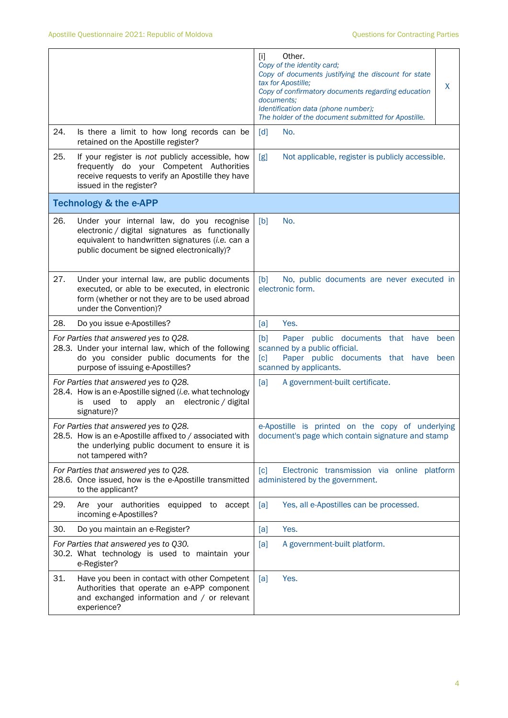|                                                                                                                                                                                                       | Other.<br>$[1]$<br>Copy of the identity card;<br>Copy of documents justifying the discount for state<br>tax for Apostille;<br>X<br>Copy of confirmatory documents regarding education<br>documents;<br>Identification data (phone number);<br>The holder of the document submitted for Apostille. |
|-------------------------------------------------------------------------------------------------------------------------------------------------------------------------------------------------------|---------------------------------------------------------------------------------------------------------------------------------------------------------------------------------------------------------------------------------------------------------------------------------------------------|
| 24.<br>Is there a limit to how long records can be<br>retained on the Apostille register?                                                                                                             | [d]<br>No.                                                                                                                                                                                                                                                                                        |
| 25.<br>If your register is not publicly accessible, how<br>frequently do your Competent Authorities<br>receive requests to verify an Apostille they have<br>issued in the register?                   | Not applicable, register is publicly accessible.<br>[g]                                                                                                                                                                                                                                           |
| <b>Technology &amp; the e-APP</b>                                                                                                                                                                     |                                                                                                                                                                                                                                                                                                   |
| 26.<br>Under your internal law, do you recognise<br>electronic / digital signatures as functionally<br>equivalent to handwritten signatures (i.e. can a<br>public document be signed electronically)? | No.<br>[b]                                                                                                                                                                                                                                                                                        |
| 27.<br>Under your internal law, are public documents<br>executed, or able to be executed, in electronic<br>form (whether or not they are to be used abroad<br>under the Convention)?                  | [b]<br>No, public documents are never executed in<br>electronic form.                                                                                                                                                                                                                             |
| 28.<br>Do you issue e-Apostilles?                                                                                                                                                                     | Yes.<br>[a]                                                                                                                                                                                                                                                                                       |
| For Parties that answered yes to Q28.<br>28.3. Under your internal law, which of the following<br>do you consider public documents for the<br>purpose of issuing e-Apostilles?                        | [b]<br>Paper public documents that have<br>been<br>scanned by a public official.<br>[c]<br>Paper public documents that<br>have<br>been<br>scanned by applicants.                                                                                                                                  |
| For Parties that answered yes to Q28.<br>28.4. How is an e-Apostille signed (i.e. what technology<br>an electronic / digital<br>used<br>to<br>apply<br>is<br>signature)?                              | [a]<br>A government-built certificate.                                                                                                                                                                                                                                                            |
| For Parties that answered yes to Q28.<br>28.5. How is an e-Apostille affixed to / associated with<br>the underlying public document to ensure it is<br>not tampered with?                             | e-Apostille is printed on the copy of underlying<br>document's page which contain signature and stamp                                                                                                                                                                                             |
| For Parties that answered yes to Q28.<br>28.6. Once issued, how is the e-Apostille transmitted<br>to the applicant?                                                                                   | [c]<br>Electronic transmission via online platform<br>administered by the government.                                                                                                                                                                                                             |
| 29.<br>Are your authorities<br>equipped to accept<br>incoming e-Apostilles?                                                                                                                           | [a]<br>Yes, all e-Apostilles can be processed.                                                                                                                                                                                                                                                    |
| 30.<br>Do you maintain an e-Register?                                                                                                                                                                 | Yes.<br>[a]                                                                                                                                                                                                                                                                                       |
| For Parties that answered yes to Q30.<br>30.2. What technology is used to maintain your<br>e-Register?                                                                                                | [a]<br>A government-built platform.                                                                                                                                                                                                                                                               |
| 31.<br>Have you been in contact with other Competent<br>Authorities that operate an e-APP component<br>and exchanged information and / or relevant<br>experience?                                     | Yes.<br>[a]                                                                                                                                                                                                                                                                                       |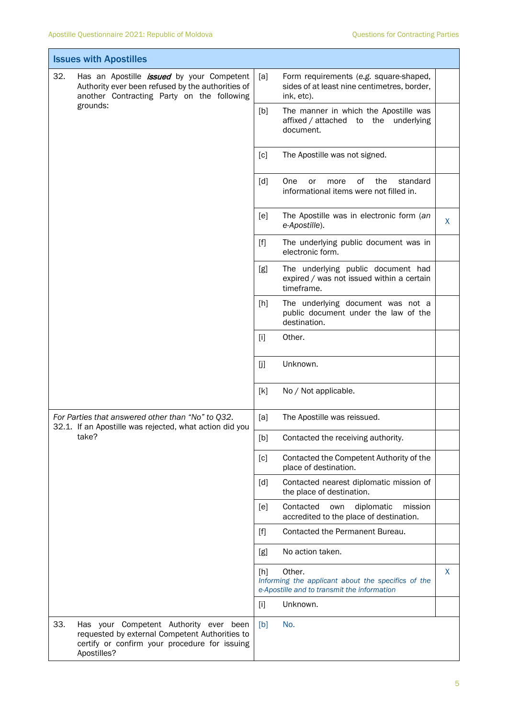F

T

| <b>Issues with Apostilles</b>                                                                                                                                   |                                                                                                                                                                                                                                                                                                                                                                                                                                                                                                                                                                                                                   |  |  |  |
|-----------------------------------------------------------------------------------------------------------------------------------------------------------------|-------------------------------------------------------------------------------------------------------------------------------------------------------------------------------------------------------------------------------------------------------------------------------------------------------------------------------------------------------------------------------------------------------------------------------------------------------------------------------------------------------------------------------------------------------------------------------------------------------------------|--|--|--|
| 32.<br>Has an Apostille <i>issued</i> by your Competent<br>Authority ever been refused by the authorities of<br>another Contracting Party on the following      | [a]<br>Form requirements (e.g. square-shaped,<br>sides of at least nine centimetres, border,<br>ink, etc).                                                                                                                                                                                                                                                                                                                                                                                                                                                                                                        |  |  |  |
| grounds:                                                                                                                                                        | [b]<br>The manner in which the Apostille was<br>affixed / attached to the underlying<br>document.                                                                                                                                                                                                                                                                                                                                                                                                                                                                                                                 |  |  |  |
|                                                                                                                                                                 | The Apostille was not signed.<br>[c]                                                                                                                                                                                                                                                                                                                                                                                                                                                                                                                                                                              |  |  |  |
|                                                                                                                                                                 | [d]<br>of _<br>the<br>One<br>standard<br>or<br>more<br>informational items were not filled in.                                                                                                                                                                                                                                                                                                                                                                                                                                                                                                                    |  |  |  |
|                                                                                                                                                                 | The Apostille was in electronic form (an<br>[e]<br>X<br>e-Apostille).                                                                                                                                                                                                                                                                                                                                                                                                                                                                                                                                             |  |  |  |
|                                                                                                                                                                 | $[f]$<br>The underlying public document was in<br>electronic form.                                                                                                                                                                                                                                                                                                                                                                                                                                                                                                                                                |  |  |  |
|                                                                                                                                                                 | The underlying public document had<br>[g]<br>expired / was not issued within a certain<br>timeframe.                                                                                                                                                                                                                                                                                                                                                                                                                                                                                                              |  |  |  |
|                                                                                                                                                                 | The underlying document was not a<br>[h]<br>public document under the law of the<br>destination.                                                                                                                                                                                                                                                                                                                                                                                                                                                                                                                  |  |  |  |
|                                                                                                                                                                 | Other.<br>$[1]$                                                                                                                                                                                                                                                                                                                                                                                                                                                                                                                                                                                                   |  |  |  |
|                                                                                                                                                                 | Unknown.<br>[j]                                                                                                                                                                                                                                                                                                                                                                                                                                                                                                                                                                                                   |  |  |  |
|                                                                                                                                                                 | [k]<br>No / Not applicable.                                                                                                                                                                                                                                                                                                                                                                                                                                                                                                                                                                                       |  |  |  |
| For Parties that answered other than "No" to Q32.<br>32.1. If an Apostille was rejected, what action did you                                                    | [a]<br>The Apostille was reissued.                                                                                                                                                                                                                                                                                                                                                                                                                                                                                                                                                                                |  |  |  |
| take?                                                                                                                                                           | $[b] \centering% \includegraphics[width=1.0\textwidth]{figs/fig_0a}% \includegraphics[width=1.0\textwidth]{figs/fig_0b}% \includegraphics[width=1.0\textwidth]{figs/fig_0b}% \includegraphics[width=1.0\textwidth]{figs/fig_0b}% \includegraphics[width=1.0\textwidth]{figs/fig_0b}% \includegraphics[width=1.0\textwidth]{figs/fig_0b}% \includegraphics[width=1.0\textwidth]{figs/fig_0b}% \includegraphics[width=1.0\textwidth]{figs/fig_0b}% \includegraphics[width=1.0\textwidth]{figs/fig_0b}% \includegraphics[width=1.0\textwidth]{figs/fig_0b}% \includegraphics[$<br>Contacted the receiving authority. |  |  |  |
|                                                                                                                                                                 | Contacted the Competent Authority of the<br>[c]<br>place of destination.                                                                                                                                                                                                                                                                                                                                                                                                                                                                                                                                          |  |  |  |
|                                                                                                                                                                 | [d]<br>Contacted nearest diplomatic mission of<br>the place of destination.                                                                                                                                                                                                                                                                                                                                                                                                                                                                                                                                       |  |  |  |
|                                                                                                                                                                 | diplomatic<br>[e]<br>Contacted<br>own<br>mission<br>accredited to the place of destination.                                                                                                                                                                                                                                                                                                                                                                                                                                                                                                                       |  |  |  |
|                                                                                                                                                                 | Contacted the Permanent Bureau.<br>$[f]$                                                                                                                                                                                                                                                                                                                                                                                                                                                                                                                                                                          |  |  |  |
|                                                                                                                                                                 | No action taken.<br>[g]                                                                                                                                                                                                                                                                                                                                                                                                                                                                                                                                                                                           |  |  |  |
|                                                                                                                                                                 | X<br>Other.<br>[h]<br>Informing the applicant about the specifics of the<br>e-Apostille and to transmit the information                                                                                                                                                                                                                                                                                                                                                                                                                                                                                           |  |  |  |
|                                                                                                                                                                 | Unknown.<br>$[1]$                                                                                                                                                                                                                                                                                                                                                                                                                                                                                                                                                                                                 |  |  |  |
| 33.<br>Has your Competent Authority ever been<br>requested by external Competent Authorities to<br>certify or confirm your procedure for issuing<br>Apostilles? | No.<br>[b]                                                                                                                                                                                                                                                                                                                                                                                                                                                                                                                                                                                                        |  |  |  |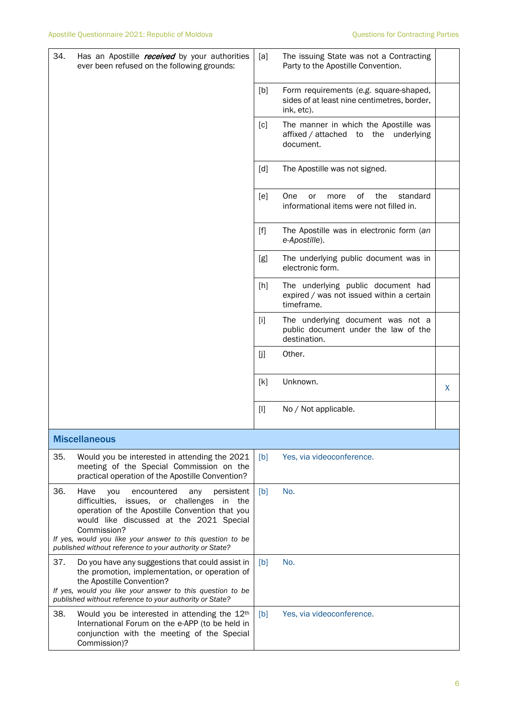| 34. | Has an Apostille <i>received</i> by your authorities<br>ever been refused on the following grounds:                                                                                                                                                                                                                                            | [a]   | The issuing State was not a Contracting<br>Party to the Apostille Convention.                       |   |
|-----|------------------------------------------------------------------------------------------------------------------------------------------------------------------------------------------------------------------------------------------------------------------------------------------------------------------------------------------------|-------|-----------------------------------------------------------------------------------------------------|---|
|     |                                                                                                                                                                                                                                                                                                                                                | [b]   | Form requirements (e.g. square-shaped,<br>sides of at least nine centimetres, border,<br>ink, etc). |   |
|     |                                                                                                                                                                                                                                                                                                                                                | [c]   | The manner in which the Apostille was<br>affixed / attached to the underlying<br>document.          |   |
|     |                                                                                                                                                                                                                                                                                                                                                | [d]   | The Apostille was not signed.                                                                       |   |
|     |                                                                                                                                                                                                                                                                                                                                                | [e]   | of<br>One<br>the<br>standard<br>more<br>or<br>informational items were not filled in.               |   |
|     |                                                                                                                                                                                                                                                                                                                                                | $[f]$ | The Apostille was in electronic form (an<br>e-Apostille).                                           |   |
|     |                                                                                                                                                                                                                                                                                                                                                | [g]   | The underlying public document was in<br>electronic form.                                           |   |
|     |                                                                                                                                                                                                                                                                                                                                                | [h]   | The underlying public document had<br>expired / was not issued within a certain<br>timeframe.       |   |
|     |                                                                                                                                                                                                                                                                                                                                                | [1]   | The underlying document was not a<br>public document under the law of the<br>destination.           |   |
|     |                                                                                                                                                                                                                                                                                                                                                | [j]   | Other.                                                                                              |   |
|     |                                                                                                                                                                                                                                                                                                                                                | [k]   | Unknown.                                                                                            | X |
|     |                                                                                                                                                                                                                                                                                                                                                | $[1]$ | No / Not applicable.                                                                                |   |
|     | <b>Miscellaneous</b>                                                                                                                                                                                                                                                                                                                           |       |                                                                                                     |   |
| 35. | Would you be interested in attending the 2021<br>meeting of the Special Commission on the<br>practical operation of the Apostille Convention?                                                                                                                                                                                                  | [b]   | Yes, via videoconference.                                                                           |   |
| 36. | Have<br>you<br>encountered<br>persistent<br>any<br>difficulties,<br>challenges<br>issues, or<br>in<br>the<br>operation of the Apostille Convention that you<br>would like discussed at the 2021 Special<br>Commission?<br>If yes, would you like your answer to this question to be<br>published without reference to your authority or State? | [b]   | No.                                                                                                 |   |
| 37. | Do you have any suggestions that could assist in<br>the promotion, implementation, or operation of<br>the Apostille Convention?<br>If yes, would you like your answer to this question to be<br>published without reference to your authority or State?                                                                                        | [b]   | No.                                                                                                 |   |
| 38. | Would you be interested in attending the 12 <sup>th</sup><br>International Forum on the e-APP (to be held in<br>conjunction with the meeting of the Special<br>Commission)?                                                                                                                                                                    | [b]   | Yes, via videoconference.                                                                           |   |